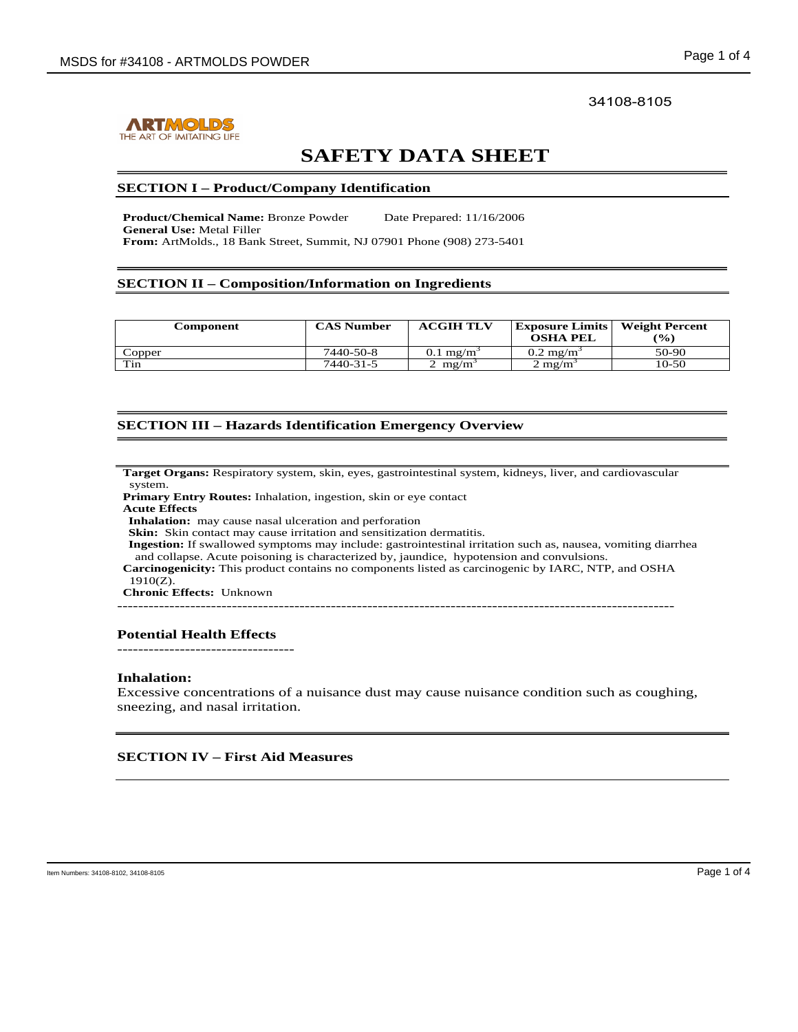

# 34108-8105

# **SAFETY DATA SHEET**

### **SECTION I – Product/Company Identification**

**Product/Chemical Name:** Bronze Powder Date Prepared: 11/16/2006 **General Use:** Metal Filler **From:** ArtMolds., 18 Bank Street, Summit, NJ 07901 Phone (908) 273-5401

# **SECTION II – Composition/Information on Ingredients**

| Component | <b>CAS Number</b> | <b>ACGIH TLV</b>     | <b>Exposure Limits</b><br><b>OSHA PEL</b> | <b>Weight Percent</b><br>$\frac{9}{6}$ |
|-----------|-------------------|----------------------|-------------------------------------------|----------------------------------------|
| Copper    | 7440-50-8         | $0.1 \text{ mg/m}^3$ | $0.2 \text{ mg/m}^3$                      | 50-90                                  |
| Tin       | 7440-31-5         | $2 \text{ mg/m}$     | $2 \text{ m} \text{g} / \text{m}$         | 10-50                                  |

# **SECTION III – Hazards Identification Emergency Overview**

**Target Organs:** Respiratory system, skin, eyes, gastrointestinal system, kidneys, liver, and cardiovascular system.

**Primary Entry Routes:** Inhalation, ingestion, skin or eye contact **Acute Effects**

j.

**Inhalation:** may cause nasal ulceration and perforation Skin: Skin contact may cause irritation and sensitization dermatitis.

**Ingestion:** If swallowed symptoms may include: gastrointestinal irritation such as, nausea, vomiting diarrhea and collapse. Acute poisoning is characterized by, jaundice, hypotension and convulsions.

**Carcinogenicity:** This product contains no components listed as carcinogenic by IARC, NTP, and OSHA 1910(Z).

**Chronic Effects:** Unknown

-----------------------------------------------------------------------------------------------------------

# **Potential Health Effects**

----------------------------------

## **Inhalation:**

Excessive concentrations of a nuisance dust may cause nuisance condition such as coughing, sneezing, and nasal irritation.

# **SECTION IV – First Aid Measures**

٦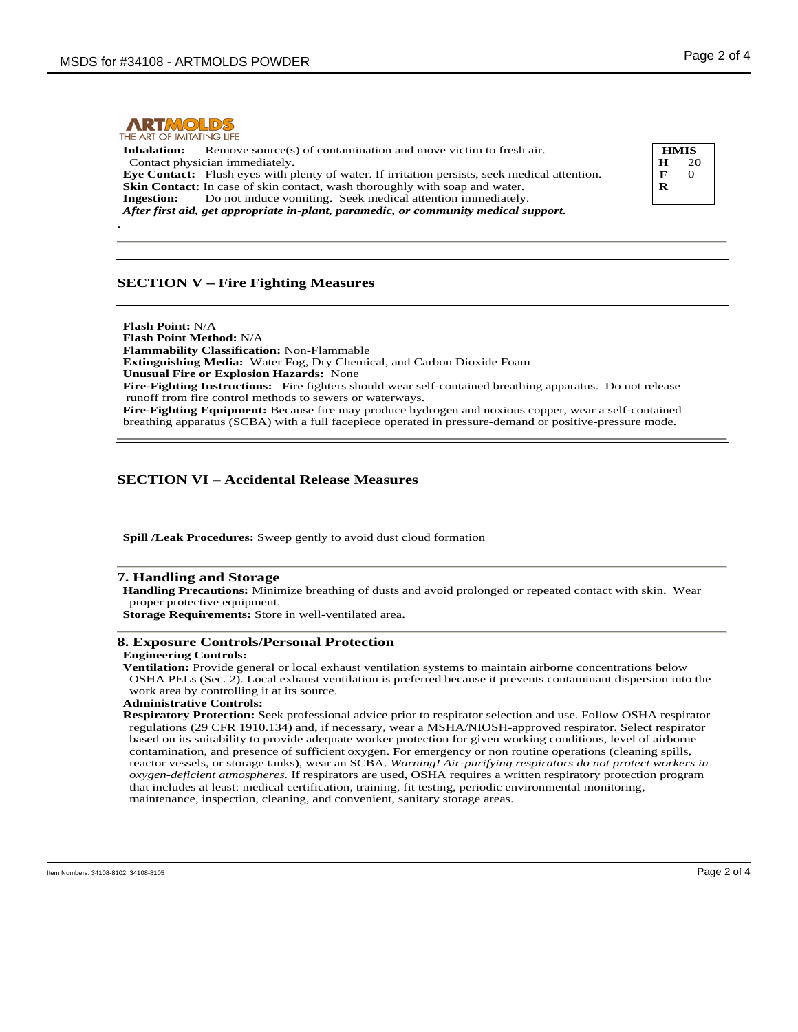

**Inhalation:** Remove source(s) of contamination and move victim to fresh air. Contact physician immediately. **Eye Contact:** Flush eyes with plenty of water. If irritation persists, seek medical attention. **Skin Contact:** In case of skin contact, wash thoroughly with soap and water. **Ingestion:** Do not induce vomiting. Seek medical attention immediately. *After first aid, get appropriate in-plant, paramedic, or community medical support.* .

# **SECTION V – Fire Fighting Measures**

٦ **Flash Point:** N/A **Flash Point Method:** N/A **Flammability Classification:** Non-Flammable **Extinguishing Media:** Water Fog, Dry Chemical, and Carbon Dioxide Foam **Unusual Fire or Explosion Hazards:** None **Fire-Fighting Instructions:** Fire fighters should wear self-contained breathing apparatus. Do not release runoff from fire control methods to sewers or waterways. **Fire-Fighting Equipment:** Because fire may produce hydrogen and noxious copper, wear a self-contained breathing apparatus (SCBA) with a full facepiece operated in pressure-demand or positive-pressure mode.

# **SECTION VI** – **Accidental Release Measures**

٦ **Spill /Leak Procedures:** Sweep gently to avoid dust cloud formation

#### **7. Handling and Storage**

**Handling Precautions:** Minimize breathing of dusts and avoid prolonged or repeated contact with skin. Wear proper protective equipment.

**Storage Requirements:** Store in well-ventilated area.

### **8. Exposure Controls/Personal Protection**

**Engineering Controls:**

**Ventilation:** Provide general or local exhaust ventilation systems to maintain airborne concentrations below OSHA PELs (Sec. 2). Local exhaust ventilation is preferred because it prevents contaminant dispersion into the work area by controlling it at its source.

```
Administrative Controls:
```
**Respiratory Protection:** Seek professional advice prior to respirator selection and use. Follow OSHA respirator regulations (29 CFR 1910.134) and, if necessary, wear a MSHA/NIOSH-approved respirator. Select respirator based on its suitability to provide adequate worker protection for given working conditions, level of airborne contamination, and presence of sufficient oxygen. For emergency or non routine operations (cleaning spills, reactor vessels, or storage tanks), wear an SCBA. *Warning! Air-purifying respirators do not protect workers in oxygen-deficient atmospheres.* If respirators are used, OSHA requires a written respiratory protection program that includes at least: medical certification, training, fit testing, periodic environmental monitoring, maintenance, inspection, cleaning, and convenient, sanitary storage areas.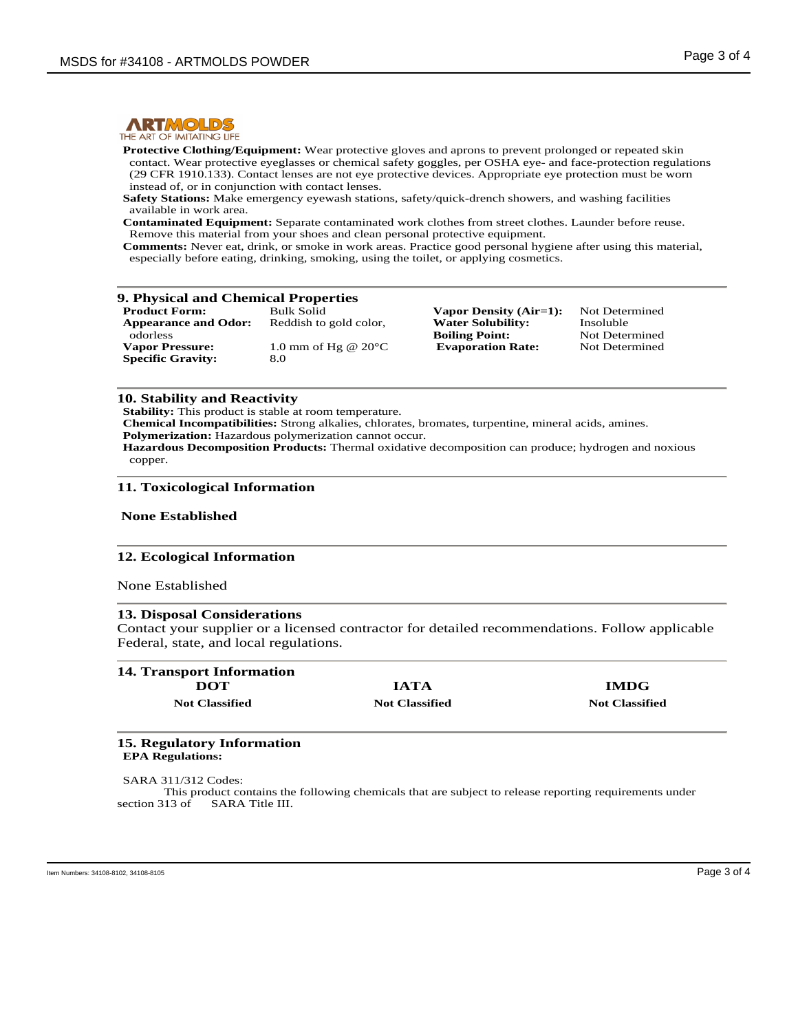

THE ART OF IMITATING LIFE

**Protective Clothing/Equipment:** Wear protective gloves and aprons to prevent prolonged or repeated skin contact. Wear protective eyeglasses or chemical safety goggles, per OSHA eye- and face-protection regulations (29 CFR 1910.133). Contact lenses are not eye protective devices. Appropriate eye protection must be worn instead of, or in conjunction with contact lenses.

**Safety Stations:** Make emergency eyewash stations, safety/quick-drench showers, and washing facilities available in work area.

**Contaminated Equipment:** Separate contaminated work clothes from street clothes. Launder before reuse. Remove this material from your shoes and clean personal protective equipment.

**Comments:** Never eat, drink, or smoke in work areas. Practice good personal hygiene after using this material, especially before eating, drinking, smoking, using the toilet, or applying cosmetics.

|  |  | 9. Physical and Chemical Properties |
|--|--|-------------------------------------|
|  |  |                                     |

| <b>Product Form:</b>        | <b>Bulk Solid</b>             |
|-----------------------------|-------------------------------|
| <b>Appearance and Odor:</b> | Reddish to gold color,        |
| odorless                    |                               |
| <b>Vapor Pressure:</b>      | 1.0 mm of Hg @ $20^{\circ}$ C |
| <b>Specific Gravity:</b>    | 8.0                           |

**Vapor Density (Air=1):** Not Determined<br>**Water Solubility:** Insoluble **Water Solubility:** Insoluble<br> **Boiling Point:** Not Determined **Boiling Point:** Not Determined<br> **Evaporation Rate:** Not Determined **Evaporation Rate:** 

### **10. Stability and Reactivity**

**Stability:** This product is stable at room temperature.

**Chemical Incompatibilities:** Strong alkalies, chlorates, bromates, turpentine, mineral acids, amines.

**Polymerization:** Hazardous polymerization cannot occur.

**Hazardous Decomposition Products:** Thermal oxidative decomposition can produce; hydrogen and noxious copper.

### **11. Toxicological Information**

### **None Established**

### **12. Ecological Information**

None Established

### **13. Disposal Considerations**

Contact your supplier or a licensed contractor for detailed recommendations. Follow applicable Federal, state, and local regulations.

| <b>14. Transport Information</b> |                       |                       |
|----------------------------------|-----------------------|-----------------------|
| DOT                              | <b>IATA</b>           | <b>IMDG</b>           |
| <b>Not Classified</b>            | <b>Not Classified</b> | <b>Not Classified</b> |

#### **15. Regulatory Information EPA Regulations:**

SARA 311/312 Codes: This product contains the following chemicals that are subject to release reporting requirements under section 313 of SARA Title III.